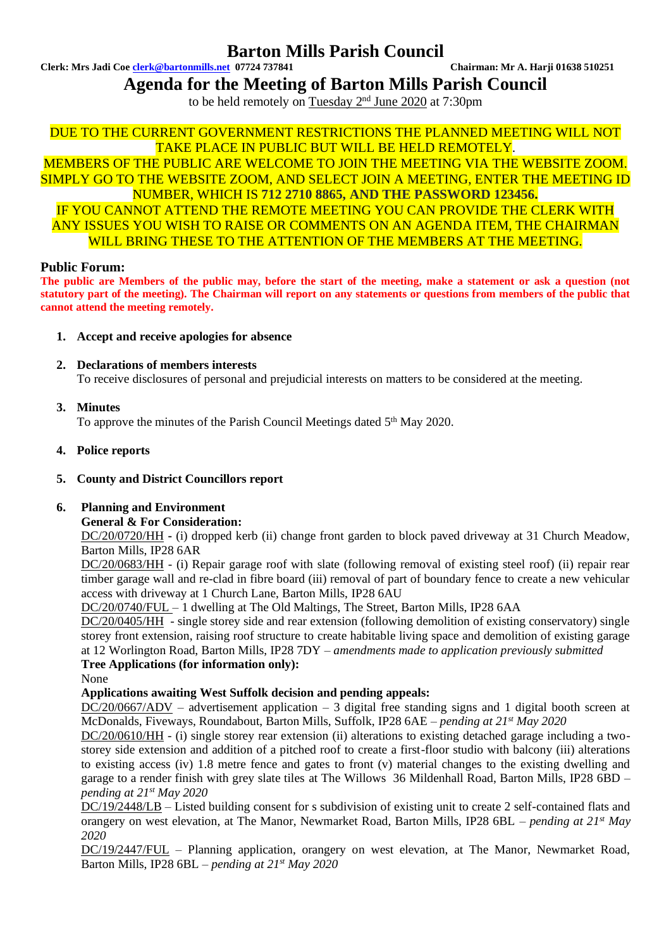## **Barton Mills Parish Council**

**Clerk: Mrs Jadi Coe [clerk@bartonmills.net](mailto:clerk@bartonmills.net) 07724 737841 Chairman: Mr A. Harji 01638 510251**

**Agenda for the Meeting of Barton Mills Parish Council**

to be held remotely on Tuesday 2<sup>nd</sup> June 2020 at 7:30pm

DUE TO THE CURRENT GOVERNMENT RESTRICTIONS THE PLANNED MEETING WILL NOT TAKE PLACE IN PUBLIC BUT WILL BE HELD REMOTELY.

MEMBERS OF THE PUBLIC ARE WELCOME TO JOIN THE MEETING VIA THE WEBSITE ZOOM. SIMPLY GO TO THE WEBSITE ZOOM, AND SELECT JOIN A MEETING, ENTER THE MEETING ID NUMBER, WHICH IS **712 2710 8865, AND THE PASSWORD 123456.** IF YOU CANNOT ATTEND THE REMOTE MEETING YOU CAN PROVIDE THE CLERK WITH ANY ISSUES YOU WISH TO RAISE OR COMMENTS ON AN AGENDA ITEM, THE CHAIRMAN WILL BRING THESE TO THE ATTENTION OF THE MEMBERS AT THE MEETING.

## **Public Forum:**

**The public are Members of the public may, before the start of the meeting, make a statement or ask a question (not statutory part of the meeting). The Chairman will report on any statements or questions from members of the public that cannot attend the meeting remotely.**

- **1. Accept and receive apologies for absence**
- **2. Declarations of members interests** To receive disclosures of personal and prejudicial interests on matters to be considered at the meeting.
- **3. Minutes**

To approve the minutes of the Parish Council Meetings dated 5<sup>th</sup> May 2020.

**4. Police reports**

## **5. County and District Councillors report**

## **6. Planning and Environment**

**General & For Consideration:**

DC/20/0720/HH **-** (i) dropped kerb (ii) change front garden to block paved driveway at 31 Church Meadow, Barton Mills, IP28 6AR

DC/20/0683/HH - (i) Repair garage roof with slate (following removal of existing steel roof) (ii) repair rear timber garage wall and re-clad in fibre board (iii) removal of part of boundary fence to create a new vehicular access with driveway at 1 Church Lane, Barton Mills, IP28 6AU

DC/20/0740/FUL – 1 dwelling at The Old Maltings, The Street, Barton Mills, IP28 6AA

DC/20/0405/HH - single storey side and rear extension (following demolition of existing conservatory) single storey front extension, raising roof structure to create habitable living space and demolition of existing garage at 12 Worlington Road, Barton Mills, IP28 7DY *– amendments made to application previously submitted*

## **Tree Applications (for information only):**

None

## **Applications awaiting West Suffolk decision and pending appeals:**

DC/20/0667/ADV – advertisement application – 3 digital free standing signs and 1 digital booth screen at McDonalds, Fiveways, Roundabout, Barton Mills, Suffolk, IP28 6AE – *pending at 21 st May 2020*

DC/20/0610/HH - (i) single storey rear extension (ii) alterations to existing detached garage including a twostorey side extension and addition of a pitched roof to create a first-floor studio with balcony (iii) alterations to existing access (iv) 1.8 metre fence and gates to front (v) material changes to the existing dwelling and garage to a render finish with grey slate tiles at The Willows 36 Mildenhall Road, Barton Mills, IP28 6BD – *pending at 21 st May 2020*

DC/19/2448/LB – Listed building consent for s subdivision of existing unit to create 2 self-contained flats and orangery on west elevation, at The Manor, Newmarket Road, Barton Mills, IP28 6BL – *pending at 21<sup>st</sup> May 2020*

DC/19/2447/FUL – Planning application, orangery on west elevation, at The Manor, Newmarket Road, Barton Mills, IP28 6BL *– pending at 21 st May 2020*